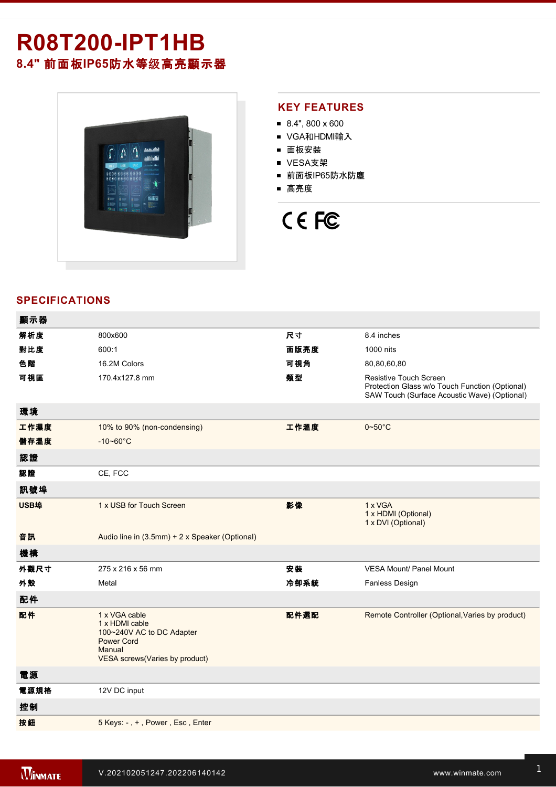# **R08T200-IPT1HB**

**8.4"** 前面板**IP65**防水等级高亮顯示器



### **KEY FEATURES**

- 8.4", 800 x 600
- VGA和HDMI輸入
- 面板安裝
- VESA支架
- 前面板IP65防水防塵
- 高亮度



## **SPECIFICATIONS**

| 顯示器  |                                                                                                                               |      |                                                                                                                                 |
|------|-------------------------------------------------------------------------------------------------------------------------------|------|---------------------------------------------------------------------------------------------------------------------------------|
| 解析度  | 800x600                                                                                                                       | 尺寸   | 8.4 inches                                                                                                                      |
| 對比度  | 600:1                                                                                                                         | 面版亮度 | 1000 nits                                                                                                                       |
| 色階   | 16.2M Colors                                                                                                                  | 可視角  | 80,80,60,80                                                                                                                     |
| 可視區  | 170.4x127.8 mm                                                                                                                | 類型   | <b>Resistive Touch Screen</b><br>Protection Glass w/o Touch Function (Optional)<br>SAW Touch (Surface Acoustic Wave) (Optional) |
| 環境   |                                                                                                                               |      |                                                                                                                                 |
| 工作濕度 | 10% to 90% (non-condensing)                                                                                                   | 工作溫度 | $0 - 50$ °C                                                                                                                     |
| 儲存溫度 | $-10 - 60^{\circ}C$                                                                                                           |      |                                                                                                                                 |
| 認證   |                                                                                                                               |      |                                                                                                                                 |
| 認證   | CE, FCC                                                                                                                       |      |                                                                                                                                 |
| 訊號埠  |                                                                                                                               |      |                                                                                                                                 |
| USB埠 | 1 x USB for Touch Screen                                                                                                      | 影像   | 1 x VGA<br>1 x HDMI (Optional)<br>1 x DVI (Optional)                                                                            |
| 音訊   | Audio line in (3.5mm) + 2 x Speaker (Optional)                                                                                |      |                                                                                                                                 |
| 機構   |                                                                                                                               |      |                                                                                                                                 |
| 外觀尺寸 | 275 x 216 x 56 mm                                                                                                             | 安装   | <b>VESA Mount/ Panel Mount</b>                                                                                                  |
| 外殼   | Metal                                                                                                                         | 冷卻系統 | Fanless Design                                                                                                                  |
| 配件   |                                                                                                                               |      |                                                                                                                                 |
| 配件   | 1 x VGA cable<br>1 x HDMI cable<br>100~240V AC to DC Adapter<br><b>Power Cord</b><br>Manual<br>VESA screws(Varies by product) | 配件選配 | Remote Controller (Optional, Varies by product)                                                                                 |
| 電源   |                                                                                                                               |      |                                                                                                                                 |
| 電源規格 | 12V DC input                                                                                                                  |      |                                                                                                                                 |
| 控制   |                                                                                                                               |      |                                                                                                                                 |
| 按鈕   | 5 Keys: -, +, Power, Esc, Enter                                                                                               |      |                                                                                                                                 |
|      |                                                                                                                               |      |                                                                                                                                 |

**DIMENSIONS**  UNIT:MM